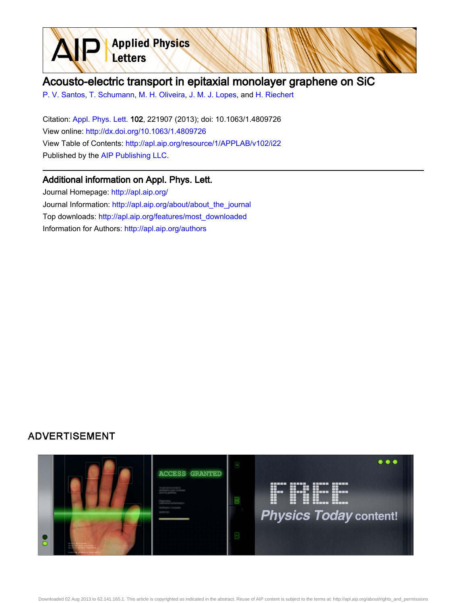

## Acousto-electric transport in epitaxial monolayer graphene on SiC

[P. V. Santos,](http://apl.aip.org/search?sortby=newestdate&q=&searchzone=2&searchtype=searchin&faceted=faceted&key=AIP_ALL&possible1=P. V. Santos&possible1zone=author&alias=&displayid=AIP&ver=pdfcov) [T. Schumann](http://apl.aip.org/search?sortby=newestdate&q=&searchzone=2&searchtype=searchin&faceted=faceted&key=AIP_ALL&possible1=T. Schumann&possible1zone=author&alias=&displayid=AIP&ver=pdfcov), [M. H. Oliveira,](http://apl.aip.org/search?sortby=newestdate&q=&searchzone=2&searchtype=searchin&faceted=faceted&key=AIP_ALL&possible1=M. H. Oliveira&possible1zone=author&alias=&displayid=AIP&ver=pdfcov) [J. M. J. Lopes](http://apl.aip.org/search?sortby=newestdate&q=&searchzone=2&searchtype=searchin&faceted=faceted&key=AIP_ALL&possible1=J. M. J. Lopes&possible1zone=author&alias=&displayid=AIP&ver=pdfcov), and [H. Riechert](http://apl.aip.org/search?sortby=newestdate&q=&searchzone=2&searchtype=searchin&faceted=faceted&key=AIP_ALL&possible1=H. Riechert&possible1zone=author&alias=&displayid=AIP&ver=pdfcov)

Citation: [Appl. Phys. Lett. 1](http://apl.aip.org/?ver=pdfcov)02, 221907 (2013); doi: 10.1063/1.4809726 View online: [http://dx.doi.org/10.1063/1.4809726](http://link.aip.org/link/doi/10.1063/1.4809726?ver=pdfcov) View Table of Contents: [http://apl.aip.org/resource/1/APPLAB/v102/i22](http://apl.aip.org/resource/1/APPLAB/v102/i22?ver=pdfcov) Published by the [AIP Publishing LLC.](http://www.aip.org/?ver=pdfcov)

## Additional information on Appl. Phys. Lett.

Journal Homepage: [http://apl.aip.org/](http://apl.aip.org/?ver=pdfcov) Journal Information: [http://apl.aip.org/about/about\\_the\\_journal](http://apl.aip.org/about/about_the_journal?ver=pdfcov) Top downloads: [http://apl.aip.org/features/most\\_downloaded](http://apl.aip.org/features/most_downloaded?ver=pdfcov) Information for Authors: [http://apl.aip.org/authors](http://apl.aip.org/authors?ver=pdfcov)

## **ADVERTISEMENT**

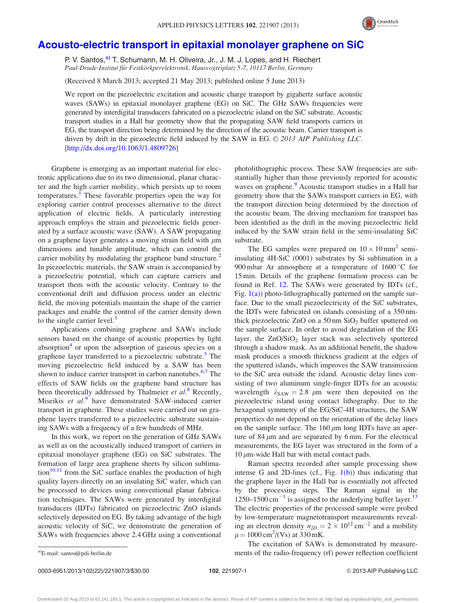

## [Acousto-electric transport in epitaxial monolayer graphene on SiC](http://dx.doi.org/10.1063/1.4809726)

P. V. Santos,<sup>a)</sup> T. Schumann, M. H. Oliveira, Jr., J. M. J. Lopes, and H. Riechert Paul-Drude-Institut für Festkörkperelektronik, Hausvogteiplatz 5-7, 10117 Berlin, Germany

(Received 8 March 2013; accepted 21 May 2013; published online 5 June 2013)

We report on the piezoelectric excitation and acoustic charge transport by gigahertz surface acoustic waves (SAWs) in epitaxial monolayer graphene (EG) on SiC. The GHz SAWs frequencies were generated by interdigital transducers fabricated on a piezoelectric island on the SiC substrate. Acoustic transport studies in a Hall bar geometry show that the propagating SAW field transports carriers in EG, the transport direction being determined by the direction of the acoustic beam. Carrier transport is driven by drift in the piezoelectric field induced by the SAW in EG.  $\odot$  2013 AIP Publishing LLC. [\[http://dx.doi.org/10.1063/1.4809726](http://dx.doi.org/10.1063/1.4809726)]

Graphene is emerging as an important material for electronic applications due to its two dimensional, planar character and the high carrier mobility, which persists up to room temperatures.<sup>[1](#page-3-0)</sup> These favorable properties open the way for exploring carrier control processes alternative to the direct application of electric fields. A particularly interesting approach employs the strain and piezoelectric fields generated by a surface acoustic wave (SAW). A SAW propagating on a graphene layer generates a moving strain field with  $\mu$ m dimensions and tunable amplitude, which can control the carrier mobility by modulating the graphene band structure. $2^2$ In piezoelectric materials, the SAW strain is accompanied by a piezoelectric potential, which can capture carriers and transport them with the acoustic velocity. Contrary to the conventional drift and diffusion process under an electric field, the moving potentials maintain the shape of the carrier packages and enable the control of the carrier density down to the single carrier level. $3$ 

Applications combining graphene and SAWs include sensors based on the change of acoustic properties by light absorption $4$  or upon the adsorption of gaseous species on a graphene layer transferred to a piezoelectric substrate.<sup>5</sup> The moving piezoelectric field induced by a SAW has been shown to induce carrier transport in carbon nanotubes. $6,7$  The effects of SAW fields on the graphene band structure has been theoretically addressed by Thalmeier et al.<sup>[8](#page-3-0)</sup> Recently, Miseikis et  $al$ .<sup>[9](#page-3-0)</sup> have demonstrated SAW-induced carrier transport in graphene. These studies were carried out on graphene layers transferred to a piezoelectric substrate sustaining SAWs with a frequency of a few hundreds of MHz.

In this work, we report on the generation of GHz SAWs as well as on the acoustically induced transport of carriers in epitaxial monolayer graphene (EG) on SiC substrates. The formation of large area graphene sheets by silicon sublima- $\frac{10,11}{1}$  $\frac{10,11}{1}$  $\frac{10,11}{1}$  from the SiC surface enables the production of high quality layers directly on an insulating SiC wafer, which can be processed to devices using conventional planar fabrication techniques. The SAWs were generated by interdigital transducers (IDTs) fabricated on piezoelectric ZnO islands selectively deposited on EG. By taking advantage of the high acoustic velocity of SiC, we demonstrate the generation of SAWs with frequencies above 2.4 GHz using a conventional photolithographic process. These SAW frequencies are substantially higher than those previously reported for acoustic waves on graphene.<sup>[9](#page-3-0)</sup> Acoustic transport studies in a Hall bar geometry show that the SAWs transport carriers in EG, with the transport direction being determined by the direction of the acoustic beam. The driving mechanism for transport has been identified as the drift in the moving piezoelectric field induced by the SAW strain field in the semi-insulating SiC substrate.

The EG samples were prepared on  $10 \times 10$  mm<sup>2</sup> semiinsulating 4H-SiC (0001) substrates by Si sublimation in a 900 mbar Ar atmosphere at a temperature of  $1600^{\circ}$ C for 15 min. Details of the graphene formation process can be found in Ref. [12.](#page-3-0) The SAWs were generated by IDTs (cf., Fig.  $1(a)$ ) photo-lithographically patterned on the sample surface. Due to the small piezoelectricity of the SiC substrates, the IDTs were fabricated on islands consisting of a 350 nmthick piezoelectric ZnO on a  $50 \text{ nm }$  SiO<sub>2</sub> buffer sputtered on the sample surface. In order to avoid degradation of the EG layer, the  $ZnO/SiO<sub>2</sub>$  layer stack was selectively sputtered through a shadow mask. As an additional benefit, the shadow mask produces a smooth thickness gradient at the edges of the sputtered islands, which improves the SAW transmission to the SiC area outside the island. Acoustic delay lines consisting of two aluminum single-finger IDTs for an acoustic wavelength  $\lambda_{SAW} = 2.8 \mu m$  were then deposited on the piezoelectric island using contact lithography. Due to the hexagonal symmetry of the EG/SiC-4H structures, the SAW properties do not depend on the orientation of the delay lines on the sample surface. The  $160 \mu m$  long IDTs have an aperture of 84  $\mu$ m and are separated by 6 mm. For the electrical measurements, the EG layer was structured in the form of a 10  $\mu$ m-wide Hall bar with metal contact pads.

Raman spectra recorded after sample processing show intense G and 2D-lines (cf., Fig.  $1(b)$ ) thus indicating that the graphene layer in the Hall bar is essentially not affected by the processing steps. The Raman signal in the 1250–1500 cm<sup>-1</sup> is assigned to the underlying buffer layer.<sup>[13](#page-3-0)</sup> The electric properties of the processed sample were probed by low-temperature magnetotransport measurements revealing an electron density  $n_{2D} = 2 \times 10^{12} \text{ cm}^{-2}$  and a mobility  $\mu = 1000 \text{ cm}^2 / (\text{Vs})$  at 330 mK.

The excitation of SAWs is demonstrated by measurea)E-mail: [santos@pdi-berlin.de](mailto:santos@pdi-berlin.de) ments of the radio-frequency (rf) power reflection coefficient

Downloaded 02 Aug 2013 to 62.141.165.1. This article is copyrighted as indicated in the abstract. Reuse of AIP content is subject to the terms at: http://apl.aip.org/about/rights\_and\_permissions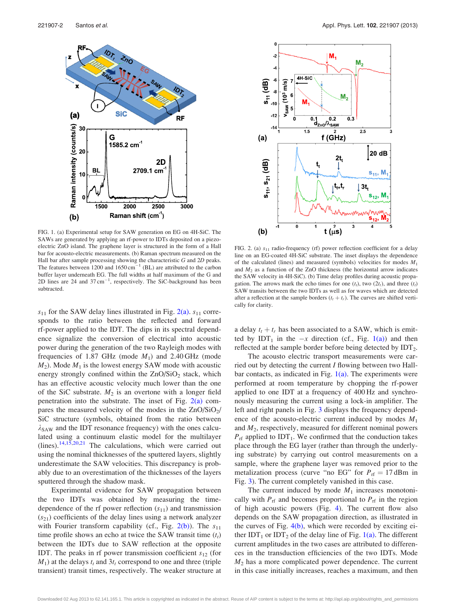<span id="page-2-0"></span>

FIG. 1. (a) Experimental setup for SAW generation on EG on 4H-SiC. The SAWs are generated by applying an rf-power to IDTs deposited on a piezoelectric ZnO island. The graphene layer is structured in the form of a Hall bar for acousto-electric measurements. (b) Raman spectrum measured on the Hall bar after sample processing showing the characteristic G and 2D peaks. The features between 1200 and  $1650 \text{ cm}^{-1}$  (BL) are attributed to the carbon buffer layer underneath EG. The full widths at half maximum of the G and 2D lines are 24 and  $37 \text{ cm}^{-1}$ , respectively. The SiC-background has been subtracted.

 $s_{11}$  for the SAW delay lines illustrated in Fig. 2(a).  $s_{11}$  corresponds to the ratio between the reflected and forward rf-power applied to the IDT. The dips in its spectral dependence signalize the conversion of electrical into acoustic power during the generation of the two Rayleigh modes with frequencies of 1.87 GHz (mode  $M_1$ ) and 2.40 GHz (mode  $M_2$ ). Mode  $M_1$  is the lowest energy SAW mode with acoustic energy strongly confined within the  $ZnO/SiO<sub>2</sub>$  stack, which has an effective acoustic velocity much lower than the one of the SiC substrate.  $M_2$  is an overtone with a longer field penetration into the substrate. The inset of Fig. 2(a) compares the measured velocity of the modes in the  $\text{ZnO/SiO}_2$ / SiC structure (symbols, obtained from the ratio between  $\lambda_{\text{SAW}}$  and the IDT resonance frequency) with the ones calculated using a continuum elastic model for the multilayer (lines).<sup>[14,15](#page-3-0),[20,21](#page-3-0)</sup> The calculations, which were carried out using the nominal thicknesses of the sputtered layers, slightly underestimate the SAW velocities. This discrepancy is probably due to an overestimation of the thicknesses of the layers sputtered through the shadow mask.

Experimental evidence for SAW propagation between the two IDTs was obtained by measuring the timedependence of the rf power reflection  $(s_{11})$  and transmission  $(s_{21})$  coefficients of the delay lines using a network analyzer with Fourier transform capability (cf., Fig.  $2(b)$ ). The  $s_{11}$ time profile shows an echo at twice the SAW transit time  $(t_t)$ between the IDTs due to SAW reflection at the opposite IDT. The peaks in rf power transmission coefficient  $s_{12}$  (for  $M_1$ ) at the delays  $t_t$  and  $3t_t$  correspond to one and three (triple transient) transit times, respectively. The weaker structure at



FIG. 2. (a)  $s_{11}$  radio-frequency (rf) power reflection coefficient for a delay line on an EG-coated 4H-SiC substrate. The inset displays the dependence of the calculated (lines) and measured (symbols) velocities for modes  $M_1$ and  $M<sub>2</sub>$  as a function of the ZnO thickness (the horizontal arrow indicates the SAW velocity in 4H-SiC). (b) Time delay profiles during acoustic propagation. The arrows mark the echo times for one  $(t<sub>t</sub>)$ , two  $(2t<sub>t</sub>)$ , and three  $(t<sub>t</sub>)$ SAW transits between the two IDTs as well as for waves which are detected after a reflection at the sample borders  $(t_t + t_r)$ . The curves are shifted vertically for clarity.

a delay  $t_t + t_r$  has been associated to a SAW, which is emitted by IDT<sub>1</sub> in the  $-x$  direction (cf., Fig. 1(a)) and then reflected at the sample border before being detected by  $IDT_2$ .

The acousto electric transport measurements were carried out by detecting the current I flowing between two Hallbar contacts, as indicated in Fig.  $1(a)$ . The experiments were performed at room temperature by chopping the rf-power applied to one IDT at a frequency of 400 Hz and synchronously measuring the current using a lock-in amplifier. The left and right panels in Fig. [3](#page-3-0) displays the frequency dependence of the acousto-electric current induced by modes  $M_1$ and  $M_2$ , respectively, measured for different nominal powers  $P_{\text{rf}}$  applied to IDT<sub>1</sub>. We confirmed that the conduction takes place through the EG layer (rather than through the underlying substrate) by carrying out control measurements on a sample, where the graphene layer was removed prior to the metalization process (curve "no EG" for  $P_{\text{rf}} = 17 \text{ dBm}$  in Fig. [3](#page-3-0)). The current completely vanished in this case.

The current induced by mode  $M_1$  increases monotonically with  $P_{\text{rf}}$  and becomes proportional to  $P_{\text{rf}}$  in the region of high acoustic powers (Fig. [4\)](#page-3-0). The current flow also depends on the SAW propagation direction, as illustrated in the curves of Fig. [4\(b\)](#page-3-0), which were recorded by exciting either IDT<sub>1</sub> or IDT<sub>2</sub> of the delay line of Fig. 1(a). The different current amplitudes in the two cases are attributed to differences in the transduction efficiencies of the two IDTs. Mode  $M<sub>2</sub>$  has a more complicated power dependence. The current in this case initially increases, reaches a maximum, and then